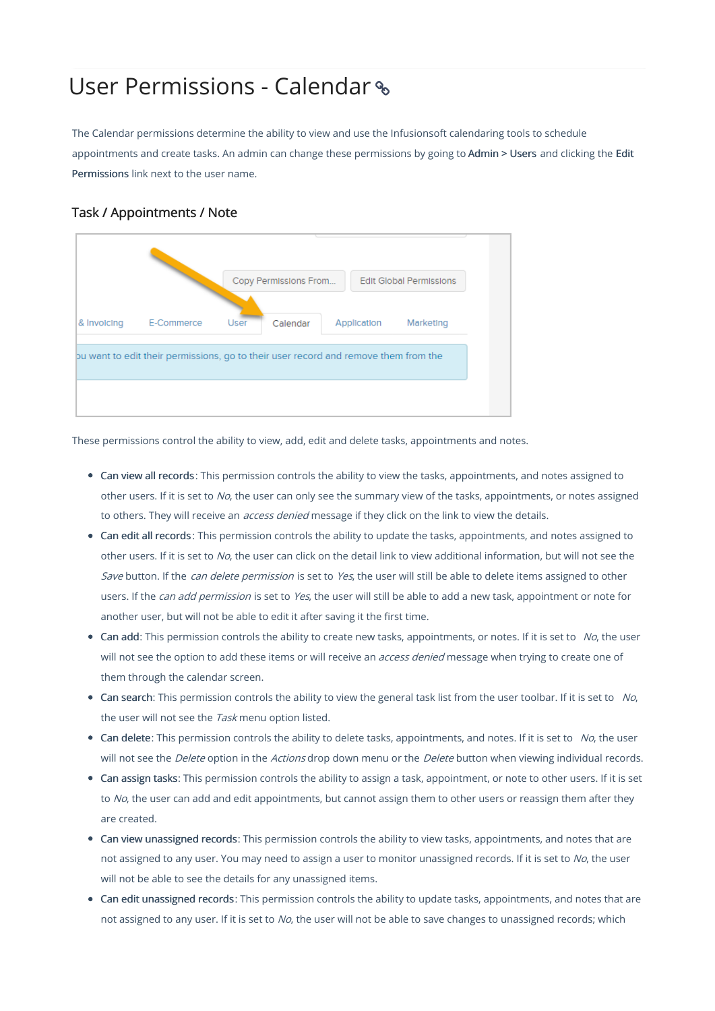## User Permissions - Calendar

The Calendar permissions determine the ability to view and use the Infusionsoft calendaring tools to schedule appointments and create tasks. An admin can change these permissions by going to Admin > Users and clicking the Edit Permissions link next to the user name.

## Task / Appointments / Note



These permissions control the ability to view, add, edit and delete tasks, appointments and notes.

- Can view all records: This permission controls the ability to view the tasks, appointments, and notes assigned to other users. If it is set to No, the user can only see the summary view of the tasks, appointments, or notes assigned to others. They will receive an *access denied* message if they click on the link to view the details.
- Can edit all records : This permission controls the ability to update the tasks, appointments, and notes assigned to other users. If it is set to No, the user can click on the detail link to view additional information, but will not see the Save button. If the can delete permission is set to Yes, the user will still be able to delete items assigned to other users. If the *can add permission* is set to Yes, the user will still be able to add a new task, appointment or note for another user, but will not be able to edit it after saving it the first time.
- Can add: This permission controls the ability to create new tasks, appointments, or notes. If it is set to  $No$ , the user will not see the option to add these items or will receive an *access denied* message when trying to create one of them through the calendar screen.
- Can search: This permission controls the ability to view the general task list from the user toolbar. If it is set to  $N_O$ , the user will not see the Task menu option listed.
- $\bullet$  Can delete: This permission controls the ability to delete tasks, appointments, and notes. If it is set to No, the user will not see the Delete option in the Actions drop down menu or the Delete button when viewing individual records.
- Can assign tasks: This permission controls the ability to assign a task, appointment, or note to other users. If it is set to No, the user can add and edit appointments, but cannot assign them to other users or reassign them after they are created.
- Can view unassigned records: This permission controls the ability to view tasks, appointments, and notes that are not assigned to any user. You may need to assign a user to monitor unassigned records. If it is set to No, the user will not be able to see the details for any unassigned items.
- Can edit unassigned records: This permission controls the ability to update tasks, appointments, and notes that are not assigned to any user. If it is set to No, the user will not be able to save changes to unassigned records; which